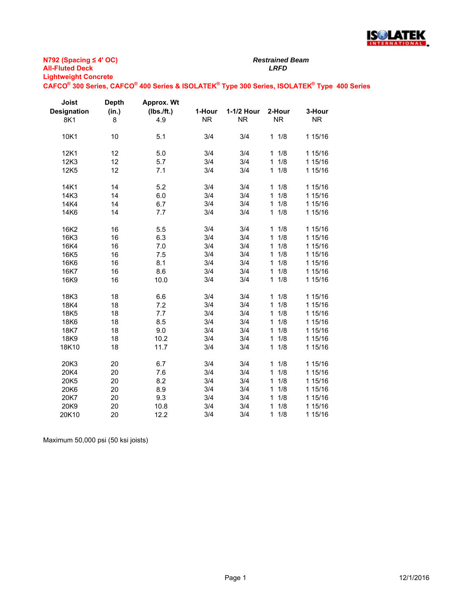

**N792 (Spacing ≤ 4' OC) All-Fluted Deck** *LRFD* **Lightweight Concrete**

**CAFCO® 300 Series, CAFCO® 400 Series & ISOLATEK® Type 300 Series, ISOLATEK® Type 400 Series**

| Joist              | <b>Depth</b> | Approx. Wt |           |            |                     |           |
|--------------------|--------------|------------|-----------|------------|---------------------|-----------|
| <b>Designation</b> | (in.)        | (Ibs./ft.) | 1-Hour    | 1-1/2 Hour | 2-Hour              | 3-Hour    |
| 8K1                | 8            | 4.9        | <b>NR</b> | <b>NR</b>  | <b>NR</b>           | <b>NR</b> |
| 10K1               | 10           | 5.1        | 3/4       | 3/4        | 11/8                | 1 15/16   |
| 12K1               | 12           | 5.0        | 3/4       | 3/4        | 1/8<br>1            | 1 15/16   |
| 12K3               | 12           | 5.7        | 3/4       | 3/4        | 1/8<br>1            | 1 15/16   |
| 12K5               | 12           | 7.1        | 3/4       | 3/4        | 1/8<br>$\mathbf{1}$ | 1 15/16   |
| 14K1               | 14           | 5.2        | 3/4       | 3/4        | 1/8<br>1            | 1 15/16   |
| 14K3               | 14           | 6.0        | 3/4       | 3/4        | 1/8<br>1            | 1 15/16   |
| 14K4               | 14           | 6.7        | 3/4       | 3/4        | 1<br>1/8            | 1 15/16   |
| 14K6               | 14           | 7.7        | 3/4       | 3/4        | 1/8<br>1            | 1 15/16   |
| 16K2               | 16           | 5.5        | 3/4       | 3/4        | 1/8<br>1            | 1 15/16   |
| 16K3               | 16           | 6.3        | 3/4       | 3/4        | 1<br>1/8            | 1 15/16   |
| 16K4               | 16           | 7.0        | 3/4       | 3/4        | 1/8<br>1            | 1 15/16   |
| 16K5               | 16           | 7.5        | 3/4       | 3/4        | 1/8<br>1            | 1 15/16   |
| 16K6               | 16           | 8.1        | 3/4       | 3/4        | 1/8<br>$\mathbf{1}$ | 1 15/16   |
| 16K7               | 16           | 8.6        | 3/4       | 3/4        | 1/8<br>$\mathbf{1}$ | 1 15/16   |
| 16K9               | 16           | 10.0       | 3/4       | 3/4        | 1/8<br>$\mathbf{1}$ | 1 15/16   |
| 18K3               | 18           | 6.6        | 3/4       | 3/4        | 11/8                | 1 15/16   |
| 18K4               | 18           | 7.2        | 3/4       | 3/4        | 1/8<br>1            | 1 15/16   |
| 18K5               | 18           | 7.7        | 3/4       | 3/4        | 1/8<br>1            | 1 15/16   |
| 18K6               | 18           | 8.5        | 3/4       | 3/4        | 1/8<br>1            | 1 15/16   |
| 18K7               | 18           | 9.0        | 3/4       | 3/4        | 1/8<br>1            | 1 15/16   |
| 18K9               | 18           | 10.2       | 3/4       | 3/4        | 1/8<br>1.           | 1 15/16   |
| 18K10              | 18           | 11.7       | 3/4       | 3/4        | 11/8                | 1 15/16   |
| 20K3               | 20           | 6.7        | 3/4       | 3/4        | 1/8<br>1            | 1 15/16   |
| 20K4               | 20           | 7.6        | 3/4       | 3/4        | 1/8<br>1            | 1 15/16   |
| 20K5               | 20           | 8.2        | 3/4       | 3/4        | 1/8<br>1            | 1 15/16   |
| 20K6               | 20           | 8.9        | 3/4       | 3/4        | 1/8<br>1            | 1 15/16   |
| 20K7               | 20           | 9.3        | 3/4       | 3/4        | 1/8<br>1            | 1 15/16   |
| 20K9               | 20           | 10.8       | 3/4       | 3/4        | 1/8<br>1            | 1 15/16   |
| 20K10              | 20           | 12.2       | 3/4       | 3/4        | 1<br>1/8            | 1 15/16   |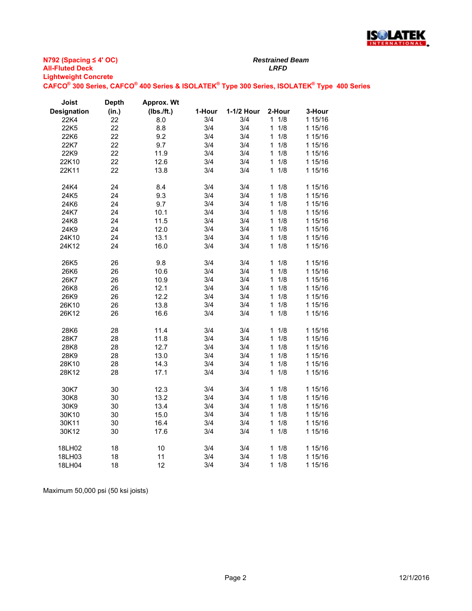

| Joist       | <b>Depth</b> | Approx. Wt |        |            |                     |         |
|-------------|--------------|------------|--------|------------|---------------------|---------|
| Designation | (in.)        | (Ibs./ft.) | 1-Hour | 1-1/2 Hour | 2-Hour              | 3-Hour  |
| 22K4        | 22           | 8.0        | 3/4    | 3/4        | $1 \t1/8$           | 1 15/16 |
| 22K5        | 22           | 8.8        | 3/4    | 3/4        | $\mathbf{1}$<br>1/8 | 1 15/16 |
| 22K6        | 22           | 9.2        | 3/4    | 3/4        | 1/8<br>1            | 1 15/16 |
| 22K7        | 22           | 9.7        | 3/4    | 3/4        | 1/8<br>1            | 1 15/16 |
| 22K9        | 22           | 11.9       | 3/4    | 3/4        | $\mathbf{1}$<br>1/8 | 1 15/16 |
| 22K10       | 22           | 12.6       | 3/4    | 3/4        | $\mathbf{1}$<br>1/8 | 1 15/16 |
| 22K11       | 22           | 13.8       | 3/4    | 3/4        | 1/8<br>1            | 1 15/16 |
|             |              |            |        |            |                     |         |
| 24K4        | 24           | 8.4        | 3/4    | 3/4        | $\mathbf{1}$<br>1/8 | 1 15/16 |
| 24K5        | 24           | 9.3        | 3/4    | 3/4        | 1/8<br>$\mathbf{1}$ | 1 15/16 |
| 24K6        | 24           | 9.7        | 3/4    | 3/4        | $\mathbf{1}$<br>1/8 | 1 15/16 |
| 24K7        | 24           | 10.1       | 3/4    | 3/4        | 1/8<br>1            | 1 15/16 |
| 24K8        | 24           | 11.5       | 3/4    | 3/4        | 1/8<br>1            | 1 15/16 |
| 24K9        | 24           | 12.0       | 3/4    | 3/4        | 1/8<br>1            | 1 15/16 |
| 24K10       | 24           | 13.1       | 3/4    | 3/4        | 1/8<br>$\mathbf{1}$ | 1 15/16 |
| 24K12       | 24           | 16.0       | 3/4    | 3/4        | 1/8<br>1            | 1 15/16 |
|             |              |            |        |            |                     |         |
| 26K5        | 26           | 9.8        | 3/4    | 3/4        | $\mathbf{1}$<br>1/8 | 1 15/16 |
| 26K6        | 26           | 10.6       | 3/4    | 3/4        | $\mathbf{1}$<br>1/8 | 1 15/16 |
| 26K7        | 26           | 10.9       | 3/4    | 3/4        | 1/8<br>1            | 1 15/16 |
| 26K8        | 26           | 12.1       | 3/4    | 3/4        | 1/8<br>$\mathbf{1}$ | 1 15/16 |
| 26K9        | 26           | 12.2       | 3/4    | 3/4        | 1/8<br>$\mathbf{1}$ | 1 15/16 |
| 26K10       | 26           | 13.8       | 3/4    | 3/4        | 1/8<br>1            | 1 15/16 |
| 26K12       | 26           | 16.6       | 3/4    | 3/4        | 1/8<br>$\mathbf{1}$ | 1 15/16 |
|             |              |            |        |            |                     |         |
| 28K6        | 28           | 11.4       | 3/4    | 3/4        | 1/8<br>1            | 1 15/16 |
| 28K7        | 28           | 11.8       | 3/4    | 3/4        | 1/8<br>$\mathbf{1}$ | 1 15/16 |
| 28K8        | 28           | 12.7       | 3/4    | 3/4        | 1/8<br>$\mathbf{1}$ | 1 15/16 |
| 28K9        | 28           | 13.0       | 3/4    | 3/4        | 1/8<br>1            | 1 15/16 |
| 28K10       | 28           | 14.3       | 3/4    | 3/4        | 1/8<br>1            | 1 15/16 |
| 28K12       | 28           | 17.1       | 3/4    | 3/4        | 1/8<br>$\mathbf{1}$ | 1 15/16 |
|             |              |            |        |            |                     |         |
| 30K7        | 30           | 12.3       | 3/4    | 3/4        | 1/8<br>1            | 1 15/16 |
| 30K8        | 30           | 13.2       | 3/4    | 3/4        | 1/8<br>$\mathbf{1}$ | 1 15/16 |
| 30K9        | 30           | 13.4       | 3/4    | 3/4        | 1/8<br>1            | 1 15/16 |
| 30K10       | 30           | 15.0       | 3/4    | 3/4        | 1/8<br>1            | 1 15/16 |
| 30K11       | 30           | 16.4       | 3/4    | 3/4        | 1/8<br>$\mathbf{1}$ | 1 15/16 |
| 30K12       | 30           | 17.6       | 3/4    | 3/4        | $\mathbf{1}$<br>1/8 | 1 15/16 |
|             |              |            |        |            |                     |         |
| 18LH02      | 18           | 10         | 3/4    | 3/4        | 1/8<br>1            | 1 15/16 |
| 18LH03      | 18           | 11         | 3/4    | 3/4        | 1<br>1/8            | 1 15/16 |
| 18LH04      | 18           | 12         | 3/4    | 3/4        | 1/8<br>1            | 1 15/16 |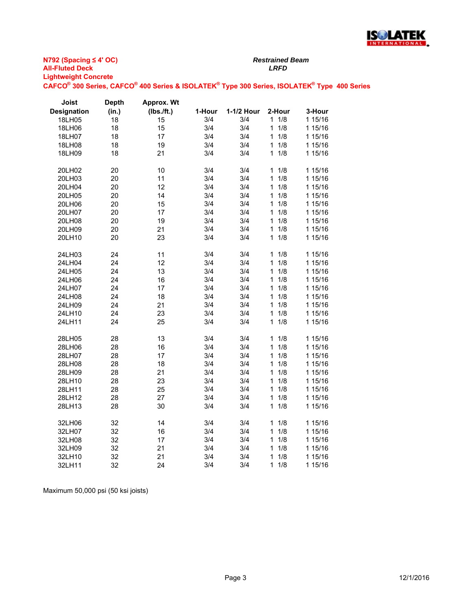

| Designation<br>(in.)<br>(Ibs./ft.)<br>1-1/2 Hour<br>2-Hour<br>1-Hour<br>$1 \t1/8$<br>3/4<br>3/4<br>18LH05<br>18<br>15 | 3-Hour<br>1 15/16 |
|-----------------------------------------------------------------------------------------------------------------------|-------------------|
|                                                                                                                       |                   |
|                                                                                                                       |                   |
| 18<br>15<br>3/4<br>3/4<br>1/8<br>18LH06<br>$\mathbf{1}$                                                               | 1 15/16           |
| 18<br>3/4<br>1/8<br>18LH07<br>17<br>3/4<br>1                                                                          | 1 15/16           |
| 18<br>19<br>3/4<br>3/4<br>1/8<br>18LH08<br>1                                                                          | 1 15/16           |
| 18<br>21<br>3/4<br>3/4<br>1/8<br>18LH09<br>1                                                                          | 1 15/16           |
| 20<br>10<br>3/4<br>3/4<br>1/8<br>20LH02<br>1                                                                          | 1 15/16           |
| 3/4<br>3/4<br>1/8<br>20<br>11<br>1<br>20LH03                                                                          | 1 15/16           |
| $\overline{1}$<br>1/8<br>20<br>12<br>3/4<br>3/4<br>20LH04                                                             | 1 15/16           |
| 3/4<br>1/8<br>20<br>14<br>3/4<br>$\mathbf{1}$<br>20LH05                                                               | 1 15/16           |
| 20<br>15<br>3/4<br>3/4<br>$\mathbf{1}$<br>1/8<br>20LH06                                                               | 1 15/16           |
| 1/8<br>20<br>17<br>3/4<br>3/4<br>20LH07<br>1                                                                          | 1 15/16           |
| 20<br>19<br>3/4<br>3/4<br>1/8<br>20LH08<br>1                                                                          | 1 15/16           |
| 20<br>21<br>20LH09<br>3/4<br>3/4<br>1<br>1/8                                                                          | 1 15/16           |
| 23<br>1/8<br>20LH10<br>20<br>3/4<br>3/4<br>$\mathbf{1}$                                                               | 1 15/16           |
| 11<br>3/4<br>3/4<br>1/8<br>24LH03<br>24<br>1                                                                          | 1 15/16           |
| 3/4<br>3/4<br>1/8<br>24<br>12<br>1<br>24LH04                                                                          | 1 15/16           |
| 24<br>13<br>3/4<br>3/4<br>1<br>1/8<br>24LH05                                                                          | 1 15/16           |
| 1/8<br>24LH06<br>24<br>16<br>3/4<br>3/4<br>1                                                                          | 1 15/16           |
| 24<br>17<br>3/4<br>3/4<br>1/8<br>$\mathbf{1}$<br>24LH07                                                               | 1 15/16           |
| 24<br>18<br>24LH08<br>3/4<br>3/4<br>1<br>1/8                                                                          | 1 15/16           |
| 21<br>1/8<br>24LH09<br>24<br>3/4<br>3/4<br>$\mathbf{1}$                                                               | 1 15/16           |
| 24<br>23<br>3/4<br>1/8<br>3/4<br>$\mathbf{1}$<br>24LH10                                                               | 1 15/16           |
| $\mathbf{1}$<br>1/8<br>24<br>25<br>3/4<br>3/4<br>24LH11                                                               | 1 15/16           |
| 28<br>13<br>3/4<br>3/4<br>1/8<br>28LH05<br>1                                                                          | 1 15/16           |
| 28<br>3/4<br>1/8<br>16<br>3/4<br>$\mathbf{1}$<br>28LH06                                                               | 1 15/16           |
| 28<br>17<br>3/4<br>3/4<br>$\mathbf{1}$<br>1/8<br>28LH07                                                               | 1 15/16           |
| 28<br>18<br>1/8<br>28LH08<br>3/4<br>3/4<br>1                                                                          | 1 15/16           |
| 21<br>1/8<br>28LH09<br>28<br>3/4<br>3/4<br>$\mathbf{1}$                                                               | 1 15/16           |
| 28<br>23<br>3/4<br>3/4<br>$\mathbf{1}$<br>1/8<br>28LH10                                                               | 1 15/16           |
| 3/4<br>3/4<br>$\overline{1}$<br>1/8<br>28<br>25<br>28LH11                                                             | 1 15/16           |
| 1/8<br>3/4<br>3/4<br>28<br>27<br>1<br>28LH12                                                                          | 1 15/16           |
| 3/4<br>1/8<br>28LH13<br>28<br>30<br>3/4<br>1                                                                          | 1 15/16           |
| 32<br>14<br>3/4<br>3/4<br>1/8<br>32LH06<br>1                                                                          | 1 15/16           |
| 32LH07<br>32<br>16<br>3/4<br>3/4<br>$\mathbf{1}$<br>1/8                                                               | 1 15/16           |
| 32<br>17<br>3/4<br>1/8<br>32LH08<br>3/4<br>1                                                                          | 1 15/16           |
| 32<br>21<br>3/4<br>3/4<br>1/8<br>32LH09<br>1                                                                          | 1 15/16           |
| 32<br>21<br>3/4<br>3/4<br>1<br>1/8<br>32LH10                                                                          | 1 15/16           |
| 3/4<br>3/4<br>1/8<br>32<br>24<br>1<br>32LH11                                                                          | 1 15/16           |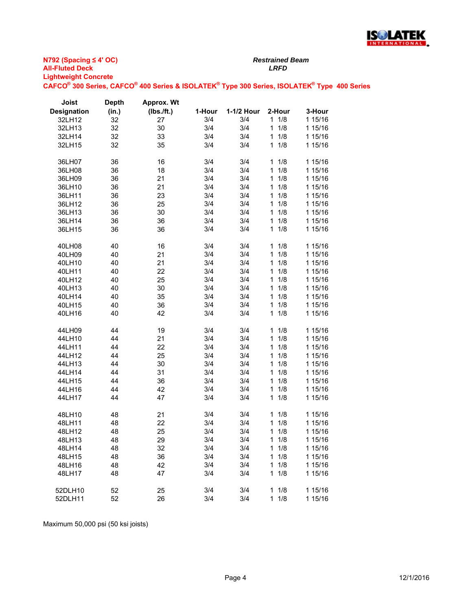

| Joist              | <b>Depth</b> | <b>Approx. Wt</b> |        |            |                     |         |
|--------------------|--------------|-------------------|--------|------------|---------------------|---------|
| <b>Designation</b> | (in.)        | (Ibs./ft.)        | 1-Hour | 1-1/2 Hour | 2-Hour              | 3-Hour  |
| 32LH12             | 32           | 27                | 3/4    | 3/4        | 11/8                | 1 15/16 |
| 32LH13             | 32           | 30                | 3/4    | 3/4        | $\mathbf{1}$<br>1/8 | 1 15/16 |
| 32LH14             | 32           | 33                | 3/4    | 3/4        | 1/8<br>1            | 1 15/16 |
| 32LH15             | 32           | 35                | 3/4    | 3/4        | $\mathbf{1}$<br>1/8 | 1 15/16 |
|                    |              |                   |        |            |                     |         |
| 36LH07             | 36           | 16                | 3/4    | 3/4        | $\mathbf{1}$<br>1/8 | 1 15/16 |
| 36LH08             | 36           | 18                | 3/4    | 3/4        | 1/8<br>$\mathbf{1}$ | 1 15/16 |
| 36LH09             | 36           | 21                | 3/4    | 3/4        | 1/8<br>$\mathbf{1}$ | 1 15/16 |
| 36LH10             | 36           | 21                | 3/4    | 3/4        | 1/8<br>$\mathbf{1}$ | 1 15/16 |
| 36LH11             | 36           | 23                | 3/4    | 3/4        | 1/8<br>1            | 1 15/16 |
| 36LH12             | 36           | 25                | 3/4    | 3/4        | 1<br>1/8            | 1 15/16 |
| 36LH13             | 36           | 30                | 3/4    | 3/4        | $\mathbf{1}$<br>1/8 | 1 15/16 |
| 36LH14             | 36           | 36                | 3/4    | 3/4        | $\mathbf{1}$<br>1/8 | 1 15/16 |
| 36LH15             | 36           | 36                | 3/4    | 3/4        | 1/8<br>$\mathbf{1}$ | 1 15/16 |
| 40LH08             | 40           | 16                | 3/4    | 3/4        | 1<br>1/8            | 1 15/16 |
| 40LH09             | 40           | 21                | 3/4    | 3/4        | $\mathbf{1}$<br>1/8 | 1 15/16 |
| 40LH10             | 40           | 21                | 3/4    | 3/4        | 1/8<br>1            | 1 15/16 |
| 40LH11             | 40           | 22                | 3/4    | 3/4        | $\mathbf{1}$<br>1/8 | 1 15/16 |
| 40LH12             | 40           | 25                | 3/4    | 3/4        | $\mathbf{1}$<br>1/8 | 1 15/16 |
| 40LH13             | 40           | 30                | 3/4    | 3/4        | 1/8<br>$\mathbf{1}$ | 1 15/16 |
| 40LH14             | 40           | 35                | 3/4    | 3/4        | 1<br>1/8            | 1 15/16 |
| 40LH15             | 40           | 36                | 3/4    | 3/4        | $\mathbf{1}$<br>1/8 | 1 15/16 |
| 40LH16             | 40           | 42                | 3/4    | 3/4        | 1/8<br>$\mathbf{1}$ | 1 15/16 |
|                    |              |                   |        |            |                     |         |
| 44LH09             | 44           | 19                | 3/4    | 3/4        | 1<br>1/8            | 1 15/16 |
| 44LH10             | 44           | 21                | 3/4    | 3/4        | 1/8<br>$\mathbf{1}$ | 1 15/16 |
| 44LH11             | 44           | 22                | 3/4    | 3/4        | 1/8<br>1            | 1 15/16 |
| 44LH12             | 44           | 25                | 3/4    | 3/4        | $\mathbf{1}$<br>1/8 | 1 15/16 |
| 44LH13             | 44           | 30                | 3/4    | 3/4        | 1<br>1/8            | 1 15/16 |
| 44LH14             | 44           | 31                | 3/4    | 3/4        | 1/8<br>$\mathbf{1}$ | 1 15/16 |
| 44LH15             | 44           | 36                | 3/4    | 3/4        | 1/8<br>1            | 1 15/16 |
| 44LH16             | 44           | 42                | 3/4    | 3/4        | 1/8<br>$\mathbf{1}$ | 1 15/16 |
| 44LH17             | 44           | 47                | 3/4    | 3/4        | 1/8<br>$\mathbf{1}$ | 1 15/16 |
| 48LH10             | 48           | 21                | 3/4    | 3/4        | 1<br>1/8            | 1 15/16 |
| 48LH11             | 48           | 22                | 3/4    | 3/4        | 1<br>1/8            | 1 15/16 |
| 48LH12             | 48           | 25                | 3/4    | 3/4        | $\mathbf{1}$<br>1/8 | 1 15/16 |
| 48LH13             | 48           | 29                | 3/4    | 3/4        | 1<br>1/8            | 1 15/16 |
| 48LH14             | 48           | 32                | 3/4    | 3/4        | 1/8<br>$\mathbf{1}$ | 1 15/16 |
| 48LH15             | 48           | 36                | 3/4    | 3/4        | 1/8<br>1            | 1 15/16 |
| 48LH16             | 48           | 42                | 3/4    | 3/4        | 1/8<br>1            | 1 15/16 |
| 48LH17             | 48           | 47                | 3/4    | 3/4        | 1/8<br>1            | 1 15/16 |
|                    |              |                   |        |            |                     |         |
| 52DLH10            | 52           | 25                | 3/4    | 3/4        | $\mathbf{1}$<br>1/8 | 1 15/16 |
| 52DLH11            | 52           | 26                | 3/4    | 3/4        | 1<br>1/8            | 1 15/16 |